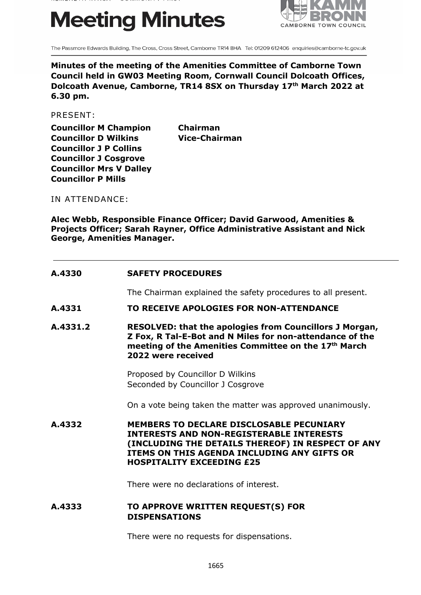# **Meeting Minutes**



The Passmore Edwards Building, The Cross, Cross Street, Camborne TR14 8HA Tel: 01209 612406 enquiries@camborne-tc.gov.uk

**Minutes of the meeting of the Amenities Committee of Camborne Town Council held in GW03 Meeting Room, Cornwall Council Dolcoath Offices, Dolcoath Avenue, Camborne, TR14 8SX on Thursday 17th March 2022 at 6.30 pm.**

PRESENT:

**Councillor M Champion Chairman Councillor D Wilkins Vice-Chairman Councillor J P Collins Councillor J Cosgrove Councillor Mrs V Dalley Councillor P Mills**

IN ATTENDANCE:

**Alec Webb, Responsible Finance Officer; David Garwood, Amenities & Projects Officer; Sarah Rayner, Office Administrative Assistant and Nick George, Amenities Manager.**

| A.4330   | <b>SAFETY PROCEDURES</b>                                                                                                                                                                                                                   |
|----------|--------------------------------------------------------------------------------------------------------------------------------------------------------------------------------------------------------------------------------------------|
|          | The Chairman explained the safety procedures to all present.                                                                                                                                                                               |
| A.4331   | TO RECEIVE APOLOGIES FOR NON-ATTENDANCE                                                                                                                                                                                                    |
| A.4331.2 | <b>RESOLVED: that the apologies from Councillors J Morgan,</b><br>Z Fox, R Tal-E-Bot and N Miles for non-attendance of the<br>meeting of the Amenities Committee on the 17th March<br>2022 were received                                   |
|          | Proposed by Councillor D Wilkins<br>Seconded by Councillor J Cosgrove                                                                                                                                                                      |
|          | On a vote being taken the matter was approved unanimously.                                                                                                                                                                                 |
| A.4332   | <b>MEMBERS TO DECLARE DISCLOSABLE PECUNIARY</b><br><b>INTERESTS AND NON-REGISTERABLE INTERESTS</b><br>(INCLUDING THE DETAILS THEREOF) IN RESPECT OF ANY<br>ITEMS ON THIS AGENDA INCLUDING ANY GIFTS OR<br><b>HOSPITALITY EXCEEDING £25</b> |
|          | There were no declarations of interest.                                                                                                                                                                                                    |
| A.4333   | TO APPROVE WRITTEN REQUEST(S) FOR<br><b>DISPENSATIONS</b>                                                                                                                                                                                  |

There were no requests for dispensations.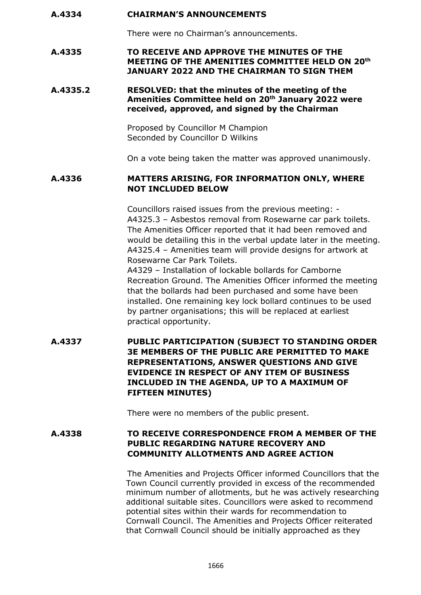#### **A.4334 CHAIRMAN'S ANNOUNCEMENTS**

There were no Chairman's announcements.

#### **A.4335 TO RECEIVE AND APPROVE THE MINUTES OF THE MEETING OF THE AMENITIES COMMITTEE HELD ON 20th JANUARY 2022 AND THE CHAIRMAN TO SIGN THEM**

#### **A.4335.2 RESOLVED: that the minutes of the meeting of the Amenities Committee held on 20th January 2022 were received, approved, and signed by the Chairman**

Proposed by Councillor M Champion Seconded by Councillor D Wilkins

On a vote being taken the matter was approved unanimously.

## **A.4336 MATTERS ARISING, FOR INFORMATION ONLY, WHERE NOT INCLUDED BELOW**

Councillors raised issues from the previous meeting: - A4325.3 – Asbestos removal from Rosewarne car park toilets. The Amenities Officer reported that it had been removed and would be detailing this in the verbal update later in the meeting. A4325.4 – Amenities team will provide designs for artwork at Rosewarne Car Park Toilets.

A4329 – Installation of lockable bollards for Camborne Recreation Ground. The Amenities Officer informed the meeting that the bollards had been purchased and some have been installed. One remaining key lock bollard continues to be used by partner organisations; this will be replaced at earliest practical opportunity.

**A.4337 PUBLIC PARTICIPATION (SUBJECT TO STANDING ORDER 3E MEMBERS OF THE PUBLIC ARE PERMITTED TO MAKE REPRESENTATIONS, ANSWER QUESTIONS AND GIVE EVIDENCE IN RESPECT OF ANY ITEM OF BUSINESS INCLUDED IN THE AGENDA, UP TO A MAXIMUM OF FIFTEEN MINUTES)**

There were no members of the public present.

## **A.4338 TO RECEIVE CORRESPONDENCE FROM A MEMBER OF THE PUBLIC REGARDING NATURE RECOVERY AND COMMUNITY ALLOTMENTS AND AGREE ACTION**

The Amenities and Projects Officer informed Councillors that the Town Council currently provided in excess of the recommended minimum number of allotments, but he was actively researching additional suitable sites. Councillors were asked to recommend potential sites within their wards for recommendation to Cornwall Council. The Amenities and Projects Officer reiterated that Cornwall Council should be initially approached as they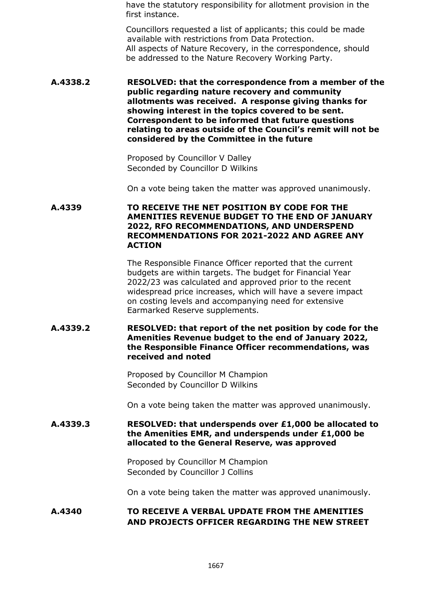have the statutory responsibility for allotment provision in the first instance.

Councillors requested a list of applicants; this could be made available with restrictions from Data Protection. All aspects of Nature Recovery, in the correspondence, should be addressed to the Nature Recovery Working Party.

#### **A.4338.2 RESOLVED: that the correspondence from a member of the public regarding nature recovery and community allotments was received. A response giving thanks for showing interest in the topics covered to be sent. Correspondent to be informed that future questions relating to areas outside of the Council's remit will not be considered by the Committee in the future**

Proposed by Councillor V Dalley Seconded by Councillor D Wilkins

On a vote being taken the matter was approved unanimously.

#### **A.4339 TO RECEIVE THE NET POSITION BY CODE FOR THE AMENITIES REVENUE BUDGET TO THE END OF JANUARY 2022, RFO RECOMMENDATIONS, AND UNDERSPEND RECOMMENDATIONS FOR 2021-2022 AND AGREE ANY ACTION**

The Responsible Finance Officer reported that the current budgets are within targets. The budget for Financial Year 2022/23 was calculated and approved prior to the recent widespread price increases, which will have a severe impact on costing levels and accompanying need for extensive Earmarked Reserve supplements.

### **A.4339.2 RESOLVED: that report of the net position by code for the Amenities Revenue budget to the end of January 2022, the Responsible Finance Officer recommendations, was received and noted**

Proposed by Councillor M Champion Seconded by Councillor D Wilkins

On a vote being taken the matter was approved unanimously.

### **A.4339.3 RESOLVED: that underspends over £1,000 be allocated to the Amenities EMR, and underspends under £1,000 be allocated to the General Reserve, was approved**

Proposed by Councillor M Champion Seconded by Councillor J Collins

On a vote being taken the matter was approved unanimously.

# **A.4340 TO RECEIVE A VERBAL UPDATE FROM THE AMENITIES AND PROJECTS OFFICER REGARDING THE NEW STREET**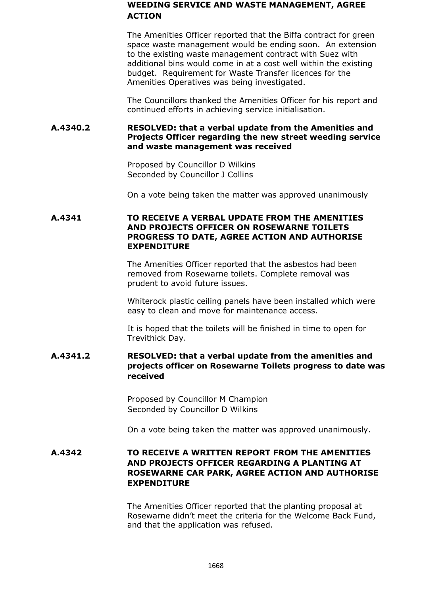### **WEEDING SERVICE AND WASTE MANAGEMENT, AGREE ACTION**

The Amenities Officer reported that the Biffa contract for green space waste management would be ending soon. An extension to the existing waste management contract with Suez with additional bins would come in at a cost well within the existing budget. Requirement for Waste Transfer licences for the Amenities Operatives was being investigated.

The Councillors thanked the Amenities Officer for his report and continued efforts in achieving service initialisation.

### **A.4340.2 RESOLVED: that a verbal update from the Amenities and Projects Officer regarding the new street weeding service and waste management was received**

Proposed by Councillor D Wilkins Seconded by Councillor J Collins

On a vote being taken the matter was approved unanimously

#### **A.4341 TO RECEIVE A VERBAL UPDATE FROM THE AMENITIES AND PROJECTS OFFICER ON ROSEWARNE TOILETS PROGRESS TO DATE, AGREE ACTION AND AUTHORISE EXPENDITURE**

The Amenities Officer reported that the asbestos had been removed from Rosewarne toilets. Complete removal was prudent to avoid future issues.

Whiterock plastic ceiling panels have been installed which were easy to clean and move for maintenance access.

It is hoped that the toilets will be finished in time to open for Trevithick Day.

# **A.4341.2 RESOLVED: that a verbal update from the amenities and projects officer on Rosewarne Toilets progress to date was received**

Proposed by Councillor M Champion Seconded by Councillor D Wilkins

On a vote being taken the matter was approved unanimously.

## **A.4342 TO RECEIVE A WRITTEN REPORT FROM THE AMENITIES AND PROJECTS OFFICER REGARDING A PLANTING AT ROSEWARNE CAR PARK, AGREE ACTION AND AUTHORISE EXPENDITURE**

The Amenities Officer reported that the planting proposal at Rosewarne didn't meet the criteria for the Welcome Back Fund, and that the application was refused.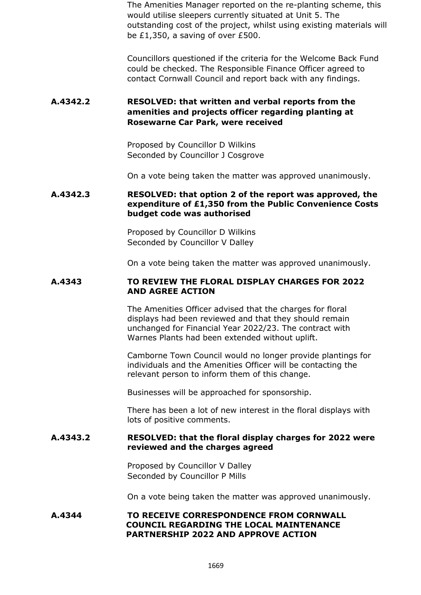The Amenities Manager reported on the re-planting scheme, this would utilise sleepers currently situated at Unit 5. The outstanding cost of the project, whilst using existing materials will be £1,350, a saving of over £500.

Councillors questioned if the criteria for the Welcome Back Fund could be checked. The Responsible Finance Officer agreed to contact Cornwall Council and report back with any findings.

## **A.4342.2 RESOLVED: that written and verbal reports from the amenities and projects officer regarding planting at Rosewarne Car Park, were received**

Proposed by Councillor D Wilkins Seconded by Councillor J Cosgrove

On a vote being taken the matter was approved unanimously.

#### **A.4342.3 RESOLVED: that option 2 of the report was approved, the expenditure of £1,350 from the Public Convenience Costs budget code was authorised**

Proposed by Councillor D Wilkins Seconded by Councillor V Dalley

On a vote being taken the matter was approved unanimously.

#### **A.4343 TO REVIEW THE FLORAL DISPLAY CHARGES FOR 2022 AND AGREE ACTION**

The Amenities Officer advised that the charges for floral displays had been reviewed and that they should remain unchanged for Financial Year 2022/23. The contract with Warnes Plants had been extended without uplift.

Camborne Town Council would no longer provide plantings for individuals and the Amenities Officer will be contacting the relevant person to inform them of this change.

Businesses will be approached for sponsorship.

There has been a lot of new interest in the floral displays with lots of positive comments.

#### **A.4343.2 RESOLVED: that the floral display charges for 2022 were reviewed and the charges agreed**

Proposed by Councillor V Dalley Seconded by Councillor P Mills

On a vote being taken the matter was approved unanimously.

#### **A.4344 TO RECEIVE CORRESPONDENCE FROM CORNWALL COUNCIL REGARDING THE LOCAL MAINTENANCE PARTNERSHIP 2022 AND APPROVE ACTION**